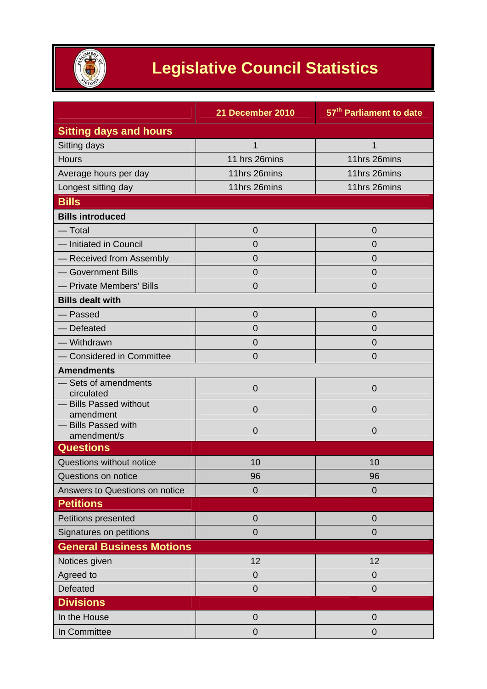

## **Legislative Council Statistics**

|                                     | 21 December 2010 | 57 <sup>th</sup> Parliament to date |
|-------------------------------------|------------------|-------------------------------------|
| <b>Sitting days and hours</b>       |                  |                                     |
| Sitting days                        | 1                | $\mathbf{1}$                        |
| Hours                               | 11 hrs 26mins    | 11hrs 26mins                        |
| Average hours per day               | 11hrs 26mins     | 11hrs 26mins                        |
| Longest sitting day                 | 11hrs 26mins     | 11hrs 26mins                        |
| <b>Bills</b>                        |                  |                                     |
| <b>Bills introduced</b>             |                  |                                     |
| $-$ Total                           | 0                | 0                                   |
| - Initiated in Council              | 0                | 0                                   |
| - Received from Assembly            | 0                | 0                                   |
| - Government Bills                  | 0                | $\overline{0}$                      |
| - Private Members' Bills            | 0                | 0                                   |
| <b>Bills dealt with</b>             |                  |                                     |
| - Passed                            | 0                | 0                                   |
| - Defeated                          | $\overline{0}$   | 0                                   |
| - Withdrawn                         | 0                | 0                                   |
| - Considered in Committee           | $\overline{0}$   | $\overline{0}$                      |
| <b>Amendments</b>                   |                  |                                     |
| - Sets of amendments<br>circulated  | $\overline{0}$   | $\mathbf 0$                         |
| - Bills Passed without<br>amendment | 0                | 0                                   |
| - Bills Passed with<br>amendment/s  | 0                | 0                                   |
| <b>Questions</b>                    |                  |                                     |
| Questions without notice            | 10               | 10                                  |
| Questions on notice                 | 96               | 96                                  |
| Answers to Questions on notice      | $\mathbf 0$      | $\overline{0}$                      |
| <b>Petitions</b>                    |                  |                                     |
| Petitions presented                 | $\mathbf 0$      | $\overline{0}$                      |
| Signatures on petitions             | $\overline{0}$   | $\overline{0}$                      |
| <b>General Business Motions</b>     |                  |                                     |
| Notices given                       | 12               | 12                                  |
| Agreed to                           | $\mathbf 0$      | 0                                   |
| Defeated                            | $\mathbf 0$      | $\mathbf 0$                         |
| <b>Divisions</b>                    |                  |                                     |
| In the House                        | $\overline{0}$   | $\overline{0}$                      |
| In Committee                        | $\overline{0}$   | $\overline{0}$                      |